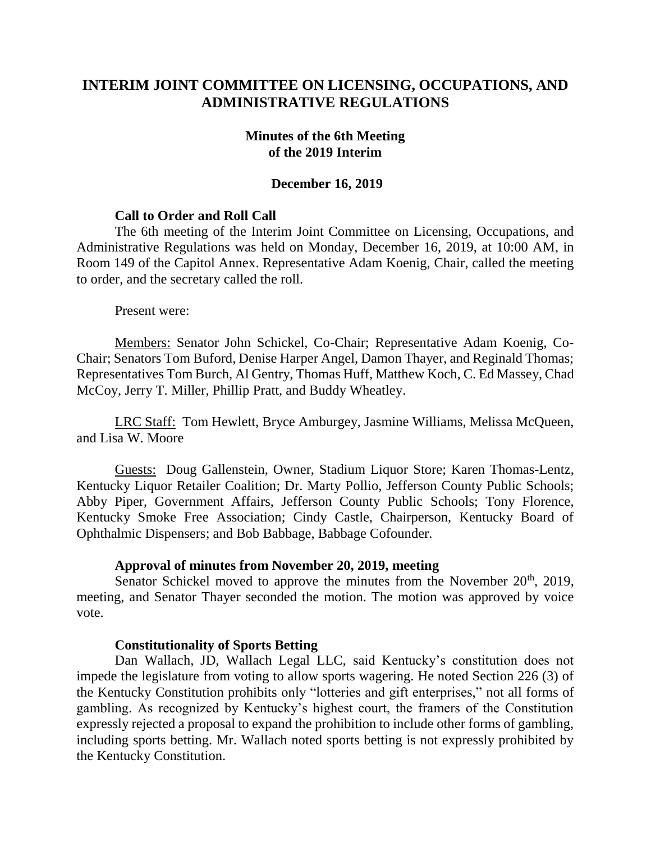# **INTERIM JOINT COMMITTEE ON LICENSING, OCCUPATIONS, AND ADMINISTRATIVE REGULATIONS**

### **Minutes of the 6th Meeting of the 2019 Interim**

### **December 16, 2019**

### **Call to Order and Roll Call**

The 6th meeting of the Interim Joint Committee on Licensing, Occupations, and Administrative Regulations was held on Monday, December 16, 2019, at 10:00 AM, in Room 149 of the Capitol Annex. Representative Adam Koenig, Chair, called the meeting to order, and the secretary called the roll.

Present were:

Members: Senator John Schickel, Co-Chair; Representative Adam Koenig, Co-Chair; Senators Tom Buford, Denise Harper Angel, Damon Thayer, and Reginald Thomas; Representatives Tom Burch, Al Gentry, Thomas Huff, Matthew Koch, C. Ed Massey, Chad McCoy, Jerry T. Miller, Phillip Pratt, and Buddy Wheatley.

LRC Staff: Tom Hewlett, Bryce Amburgey, Jasmine Williams, Melissa McQueen, and Lisa W. Moore

Guests: Doug Gallenstein, Owner, Stadium Liquor Store; Karen Thomas-Lentz, Kentucky Liquor Retailer Coalition; Dr. Marty Pollio, Jefferson County Public Schools; Abby Piper, Government Affairs, Jefferson County Public Schools; Tony Florence, Kentucky Smoke Free Association; Cindy Castle, Chairperson, Kentucky Board of Ophthalmic Dispensers; and Bob Babbage, Babbage Cofounder.

#### **Approval of minutes from November 20, 2019, meeting**

Senator Schickel moved to approve the minutes from the November  $20<sup>th</sup>$ ,  $2019$ , meeting, and Senator Thayer seconded the motion. The motion was approved by voice vote.

### **Constitutionality of Sports Betting**

Dan Wallach, JD, Wallach Legal LLC, said Kentucky's constitution does not impede the legislature from voting to allow sports wagering. He noted Section 226 (3) of the Kentucky Constitution prohibits only "lotteries and gift enterprises," not all forms of gambling. As recognized by Kentucky's highest court, the framers of the Constitution expressly rejected a proposal to expand the prohibition to include other forms of gambling, including sports betting. Mr. Wallach noted sports betting is not expressly prohibited by the Kentucky Constitution.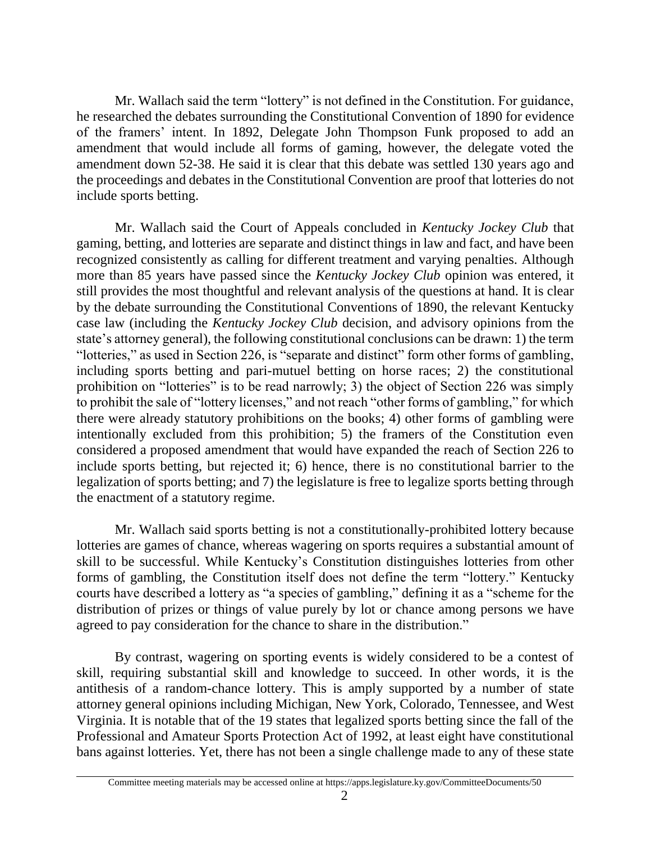Mr. Wallach said the term "lottery" is not defined in the Constitution. For guidance, he researched the debates surrounding the Constitutional Convention of 1890 for evidence of the framers' intent. In 1892, Delegate John Thompson Funk proposed to add an amendment that would include all forms of gaming, however, the delegate voted the amendment down 52-38. He said it is clear that this debate was settled 130 years ago and the proceedings and debates in the Constitutional Convention are proof that lotteries do not include sports betting.

Mr. Wallach said the Court of Appeals concluded in *Kentucky Jockey Club* that gaming, betting, and lotteries are separate and distinct things in law and fact, and have been recognized consistently as calling for different treatment and varying penalties. Although more than 85 years have passed since the *Kentucky Jockey Club* opinion was entered, it still provides the most thoughtful and relevant analysis of the questions at hand. It is clear by the debate surrounding the Constitutional Conventions of 1890, the relevant Kentucky case law (including the *Kentucky Jockey Club* decision, and advisory opinions from the state's attorney general), the following constitutional conclusions can be drawn: 1) the term "lotteries," as used in Section 226, is "separate and distinct" form other forms of gambling, including sports betting and pari-mutuel betting on horse races; 2) the constitutional prohibition on "lotteries" is to be read narrowly; 3) the object of Section 226 was simply to prohibit the sale of "lottery licenses," and not reach "other forms of gambling," for which there were already statutory prohibitions on the books; 4) other forms of gambling were intentionally excluded from this prohibition; 5) the framers of the Constitution even considered a proposed amendment that would have expanded the reach of Section 226 to include sports betting, but rejected it; 6) hence, there is no constitutional barrier to the legalization of sports betting; and 7) the legislature is free to legalize sports betting through the enactment of a statutory regime.

Mr. Wallach said sports betting is not a constitutionally-prohibited lottery because lotteries are games of chance, whereas wagering on sports requires a substantial amount of skill to be successful. While Kentucky's Constitution distinguishes lotteries from other forms of gambling, the Constitution itself does not define the term "lottery." Kentucky courts have described a lottery as "a species of gambling," defining it as a "scheme for the distribution of prizes or things of value purely by lot or chance among persons we have agreed to pay consideration for the chance to share in the distribution."

By contrast, wagering on sporting events is widely considered to be a contest of skill, requiring substantial skill and knowledge to succeed. In other words, it is the antithesis of a random-chance lottery. This is amply supported by a number of state attorney general opinions including Michigan, New York, Colorado, Tennessee, and West Virginia. It is notable that of the 19 states that legalized sports betting since the fall of the Professional and Amateur Sports Protection Act of 1992, at least eight have constitutional bans against lotteries. Yet, there has not been a single challenge made to any of these state

Committee meeting materials may be accessed online at https://apps.legislature.ky.gov/CommitteeDocuments/50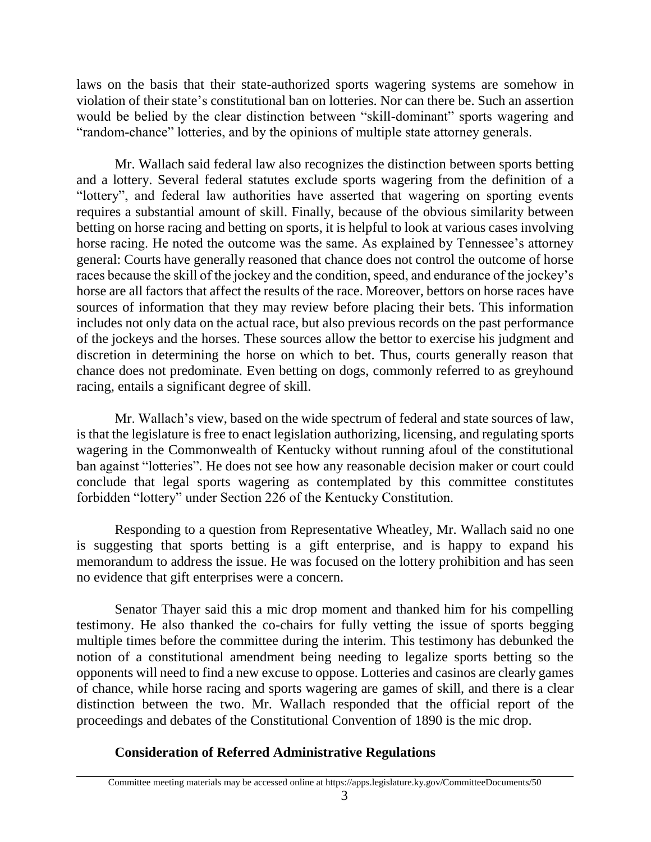laws on the basis that their state-authorized sports wagering systems are somehow in violation of their state's constitutional ban on lotteries. Nor can there be. Such an assertion would be belied by the clear distinction between "skill-dominant" sports wagering and "random-chance" lotteries, and by the opinions of multiple state attorney generals.

Mr. Wallach said federal law also recognizes the distinction between sports betting and a lottery. Several federal statutes exclude sports wagering from the definition of a "lottery", and federal law authorities have asserted that wagering on sporting events requires a substantial amount of skill. Finally, because of the obvious similarity between betting on horse racing and betting on sports, it is helpful to look at various cases involving horse racing. He noted the outcome was the same. As explained by Tennessee's attorney general: Courts have generally reasoned that chance does not control the outcome of horse races because the skill of the jockey and the condition, speed, and endurance of the jockey's horse are all factors that affect the results of the race. Moreover, bettors on horse races have sources of information that they may review before placing their bets. This information includes not only data on the actual race, but also previous records on the past performance of the jockeys and the horses. These sources allow the bettor to exercise his judgment and discretion in determining the horse on which to bet. Thus, courts generally reason that chance does not predominate. Even betting on dogs, commonly referred to as greyhound racing, entails a significant degree of skill.

Mr. Wallach's view, based on the wide spectrum of federal and state sources of law, is that the legislature is free to enact legislation authorizing, licensing, and regulating sports wagering in the Commonwealth of Kentucky without running afoul of the constitutional ban against "lotteries". He does not see how any reasonable decision maker or court could conclude that legal sports wagering as contemplated by this committee constitutes forbidden "lottery" under Section 226 of the Kentucky Constitution.

Responding to a question from Representative Wheatley, Mr. Wallach said no one is suggesting that sports betting is a gift enterprise, and is happy to expand his memorandum to address the issue. He was focused on the lottery prohibition and has seen no evidence that gift enterprises were a concern.

Senator Thayer said this a mic drop moment and thanked him for his compelling testimony. He also thanked the co-chairs for fully vetting the issue of sports begging multiple times before the committee during the interim. This testimony has debunked the notion of a constitutional amendment being needing to legalize sports betting so the opponents will need to find a new excuse to oppose. Lotteries and casinos are clearly games of chance, while horse racing and sports wagering are games of skill, and there is a clear distinction between the two. Mr. Wallach responded that the official report of the proceedings and debates of the Constitutional Convention of 1890 is the mic drop.

# **Consideration of Referred Administrative Regulations**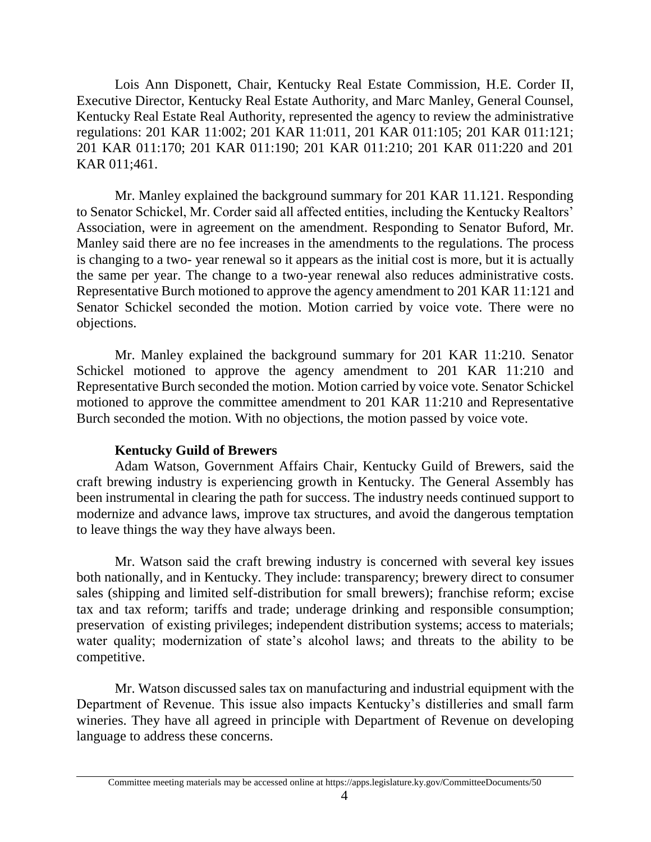Lois Ann Disponett, Chair, Kentucky Real Estate Commission, H.E. Corder II, Executive Director, Kentucky Real Estate Authority, and Marc Manley, General Counsel, Kentucky Real Estate Real Authority, represented the agency to review the administrative regulations: 201 KAR 11:002; 201 KAR 11:011, 201 KAR 011:105; 201 KAR 011:121; 201 KAR 011:170; 201 KAR 011:190; 201 KAR 011:210; 201 KAR 011:220 and 201 KAR 011;461.

Mr. Manley explained the background summary for 201 KAR 11.121. Responding to Senator Schickel, Mr. Corder said all affected entities, including the Kentucky Realtors' Association, were in agreement on the amendment. Responding to Senator Buford, Mr. Manley said there are no fee increases in the amendments to the regulations. The process is changing to a two- year renewal so it appears as the initial cost is more, but it is actually the same per year. The change to a two-year renewal also reduces administrative costs. Representative Burch motioned to approve the agency amendment to 201 KAR 11:121 and Senator Schickel seconded the motion. Motion carried by voice vote. There were no objections.

Mr. Manley explained the background summary for 201 KAR 11:210. Senator Schickel motioned to approve the agency amendment to 201 KAR 11:210 and Representative Burch seconded the motion. Motion carried by voice vote. Senator Schickel motioned to approve the committee amendment to 201 KAR 11:210 and Representative Burch seconded the motion. With no objections, the motion passed by voice vote.

#### **Kentucky Guild of Brewers**

Adam Watson, Government Affairs Chair, Kentucky Guild of Brewers, said the craft brewing industry is experiencing growth in Kentucky. The General Assembly has been instrumental in clearing the path for success. The industry needs continued support to modernize and advance laws, improve tax structures, and avoid the dangerous temptation to leave things the way they have always been.

Mr. Watson said the craft brewing industry is concerned with several key issues both nationally, and in Kentucky. They include: transparency; brewery direct to consumer sales (shipping and limited self-distribution for small brewers); franchise reform; excise tax and tax reform; tariffs and trade; underage drinking and responsible consumption; preservation of existing privileges; independent distribution systems; access to materials; water quality; modernization of state's alcohol laws; and threats to the ability to be competitive.

Mr. Watson discussed sales tax on manufacturing and industrial equipment with the Department of Revenue. This issue also impacts Kentucky's distilleries and small farm wineries. They have all agreed in principle with Department of Revenue on developing language to address these concerns.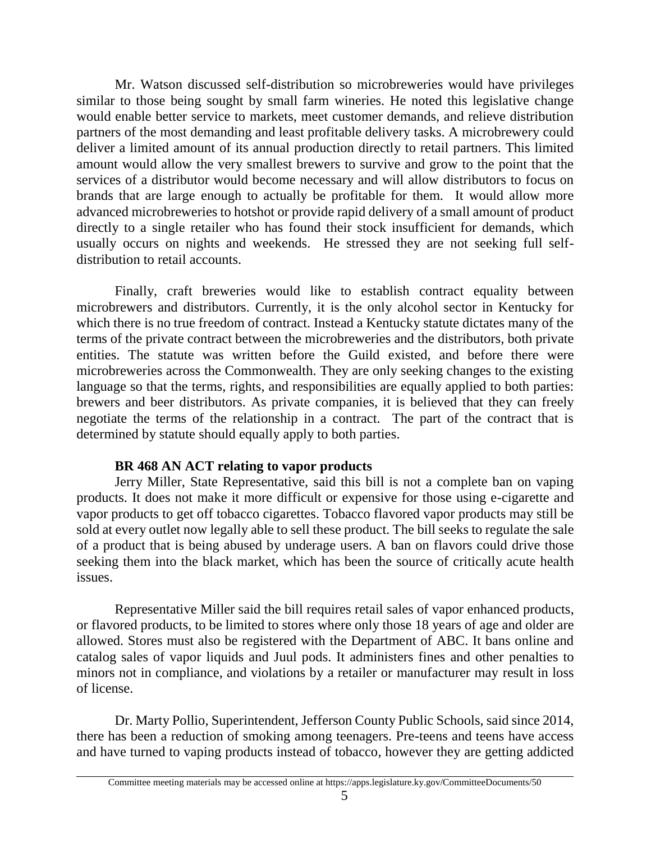Mr. Watson discussed self-distribution so microbreweries would have privileges similar to those being sought by small farm wineries. He noted this legislative change would enable better service to markets, meet customer demands, and relieve distribution partners of the most demanding and least profitable delivery tasks. A microbrewery could deliver a limited amount of its annual production directly to retail partners. This limited amount would allow the very smallest brewers to survive and grow to the point that the services of a distributor would become necessary and will allow distributors to focus on brands that are large enough to actually be profitable for them. It would allow more advanced microbreweries to hotshot or provide rapid delivery of a small amount of product directly to a single retailer who has found their stock insufficient for demands, which usually occurs on nights and weekends. He stressed they are not seeking full selfdistribution to retail accounts.

Finally, craft breweries would like to establish contract equality between microbrewers and distributors. Currently, it is the only alcohol sector in Kentucky for which there is no true freedom of contract. Instead a Kentucky statute dictates many of the terms of the private contract between the microbreweries and the distributors, both private entities. The statute was written before the Guild existed, and before there were microbreweries across the Commonwealth. They are only seeking changes to the existing language so that the terms, rights, and responsibilities are equally applied to both parties: brewers and beer distributors. As private companies, it is believed that they can freely negotiate the terms of the relationship in a contract. The part of the contract that is determined by statute should equally apply to both parties.

## **BR 468 AN ACT relating to vapor products**

Jerry Miller, State Representative, said this bill is not a complete ban on vaping products. It does not make it more difficult or expensive for those using e-cigarette and vapor products to get off tobacco cigarettes. Tobacco flavored vapor products may still be sold at every outlet now legally able to sell these product. The bill seeks to regulate the sale of a product that is being abused by underage users. A ban on flavors could drive those seeking them into the black market, which has been the source of critically acute health issues.

Representative Miller said the bill requires retail sales of vapor enhanced products, or flavored products, to be limited to stores where only those 18 years of age and older are allowed. Stores must also be registered with the Department of ABC. It bans online and catalog sales of vapor liquids and Juul pods. It administers fines and other penalties to minors not in compliance, and violations by a retailer or manufacturer may result in loss of license.

Dr. Marty Pollio, Superintendent, Jefferson County Public Schools, said since 2014, there has been a reduction of smoking among teenagers. Pre-teens and teens have access and have turned to vaping products instead of tobacco, however they are getting addicted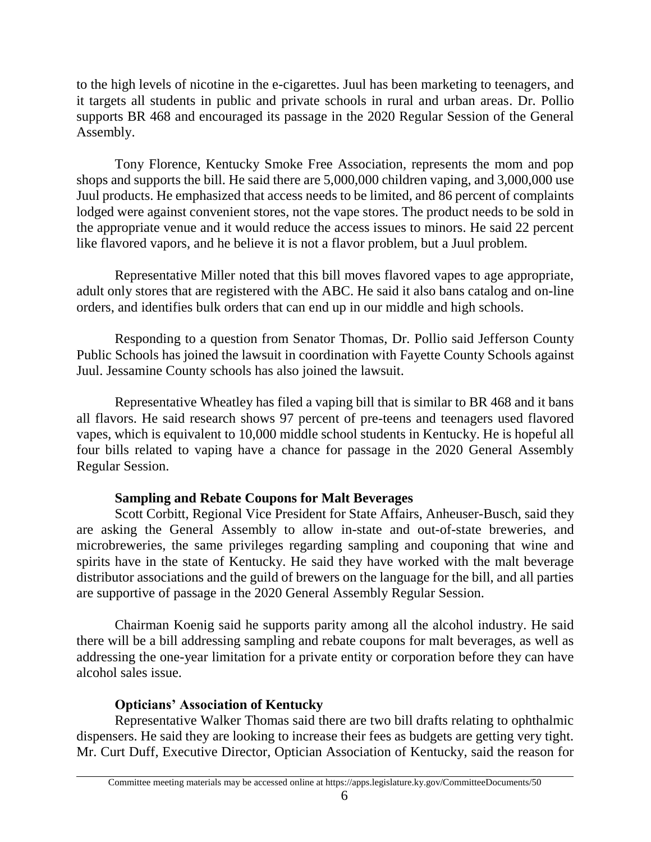to the high levels of nicotine in the e-cigarettes. Juul has been marketing to teenagers, and it targets all students in public and private schools in rural and urban areas. Dr. Pollio supports BR 468 and encouraged its passage in the 2020 Regular Session of the General Assembly.

Tony Florence, Kentucky Smoke Free Association, represents the mom and pop shops and supports the bill. He said there are 5,000,000 children vaping, and 3,000,000 use Juul products. He emphasized that access needs to be limited, and 86 percent of complaints lodged were against convenient stores, not the vape stores. The product needs to be sold in the appropriate venue and it would reduce the access issues to minors. He said 22 percent like flavored vapors, and he believe it is not a flavor problem, but a Juul problem.

Representative Miller noted that this bill moves flavored vapes to age appropriate, adult only stores that are registered with the ABC. He said it also bans catalog and on-line orders, and identifies bulk orders that can end up in our middle and high schools.

Responding to a question from Senator Thomas, Dr. Pollio said Jefferson County Public Schools has joined the lawsuit in coordination with Fayette County Schools against Juul. Jessamine County schools has also joined the lawsuit.

Representative Wheatley has filed a vaping bill that is similar to BR 468 and it bans all flavors. He said research shows 97 percent of pre-teens and teenagers used flavored vapes, which is equivalent to 10,000 middle school students in Kentucky. He is hopeful all four bills related to vaping have a chance for passage in the 2020 General Assembly Regular Session.

## **Sampling and Rebate Coupons for Malt Beverages**

Scott Corbitt, Regional Vice President for State Affairs, Anheuser-Busch, said they are asking the General Assembly to allow in-state and out-of-state breweries, and microbreweries, the same privileges regarding sampling and couponing that wine and spirits have in the state of Kentucky. He said they have worked with the malt beverage distributor associations and the guild of brewers on the language for the bill, and all parties are supportive of passage in the 2020 General Assembly Regular Session.

Chairman Koenig said he supports parity among all the alcohol industry. He said there will be a bill addressing sampling and rebate coupons for malt beverages, as well as addressing the one-year limitation for a private entity or corporation before they can have alcohol sales issue.

# **Opticians' Association of Kentucky**

Representative Walker Thomas said there are two bill drafts relating to ophthalmic dispensers. He said they are looking to increase their fees as budgets are getting very tight. Mr. Curt Duff, Executive Director, Optician Association of Kentucky, said the reason for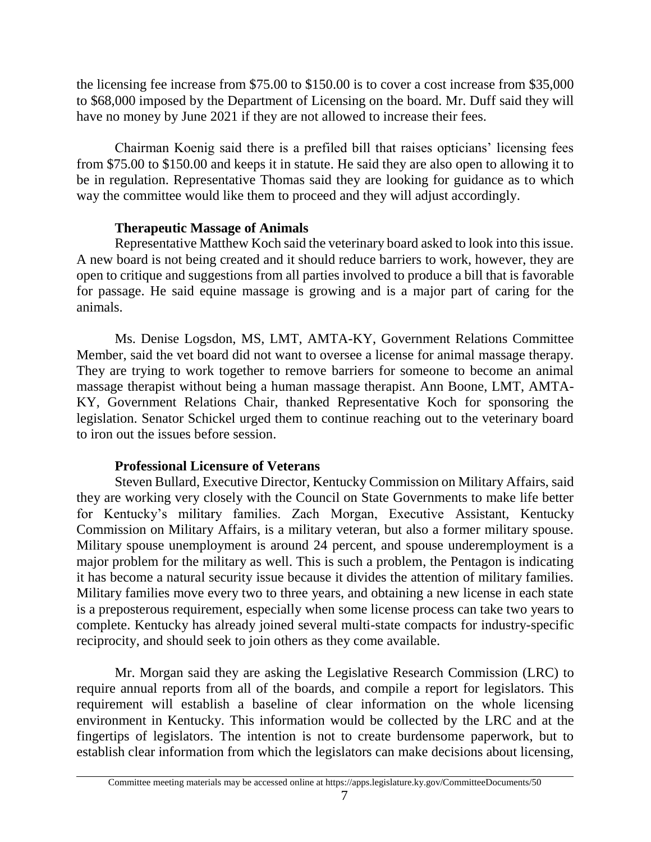the licensing fee increase from \$75.00 to \$150.00 is to cover a cost increase from \$35,000 to \$68,000 imposed by the Department of Licensing on the board. Mr. Duff said they will have no money by June 2021 if they are not allowed to increase their fees.

Chairman Koenig said there is a prefiled bill that raises opticians' licensing fees from \$75.00 to \$150.00 and keeps it in statute. He said they are also open to allowing it to be in regulation. Representative Thomas said they are looking for guidance as to which way the committee would like them to proceed and they will adjust accordingly.

## **Therapeutic Massage of Animals**

Representative Matthew Koch said the veterinary board asked to look into this issue. A new board is not being created and it should reduce barriers to work, however, they are open to critique and suggestions from all parties involved to produce a bill that is favorable for passage. He said equine massage is growing and is a major part of caring for the animals.

Ms. Denise Logsdon, MS, LMT, AMTA-KY, Government Relations Committee Member, said the vet board did not want to oversee a license for animal massage therapy. They are trying to work together to remove barriers for someone to become an animal massage therapist without being a human massage therapist. Ann Boone, LMT, AMTA-KY, Government Relations Chair, thanked Representative Koch for sponsoring the legislation. Senator Schickel urged them to continue reaching out to the veterinary board to iron out the issues before session.

## **Professional Licensure of Veterans**

Steven Bullard, Executive Director, Kentucky Commission on Military Affairs, said they are working very closely with the Council on State Governments to make life better for Kentucky's military families. Zach Morgan, Executive Assistant, Kentucky Commission on Military Affairs, is a military veteran, but also a former military spouse. Military spouse unemployment is around 24 percent, and spouse underemployment is a major problem for the military as well. This is such a problem, the Pentagon is indicating it has become a natural security issue because it divides the attention of military families. Military families move every two to three years, and obtaining a new license in each state is a preposterous requirement, especially when some license process can take two years to complete. Kentucky has already joined several multi-state compacts for industry-specific reciprocity, and should seek to join others as they come available.

Mr. Morgan said they are asking the Legislative Research Commission (LRC) to require annual reports from all of the boards, and compile a report for legislators. This requirement will establish a baseline of clear information on the whole licensing environment in Kentucky. This information would be collected by the LRC and at the fingertips of legislators. The intention is not to create burdensome paperwork, but to establish clear information from which the legislators can make decisions about licensing,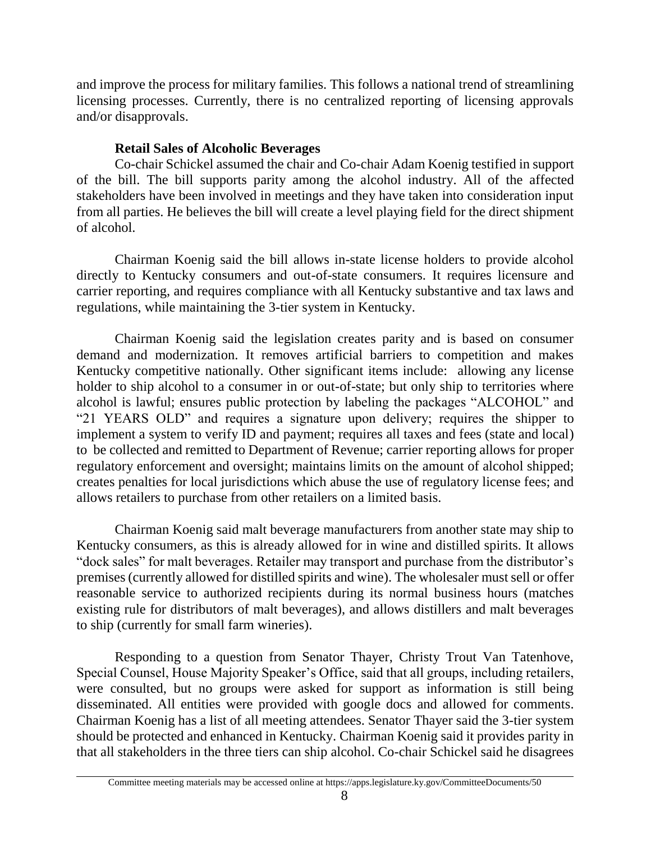and improve the process for military families. This follows a national trend of streamlining licensing processes. Currently, there is no centralized reporting of licensing approvals and/or disapprovals.

## **Retail Sales of Alcoholic Beverages**

Co-chair Schickel assumed the chair and Co-chair Adam Koenig testified in support of the bill. The bill supports parity among the alcohol industry. All of the affected stakeholders have been involved in meetings and they have taken into consideration input from all parties. He believes the bill will create a level playing field for the direct shipment of alcohol.

Chairman Koenig said the bill allows in-state license holders to provide alcohol directly to Kentucky consumers and out-of-state consumers. It requires licensure and carrier reporting, and requires compliance with all Kentucky substantive and tax laws and regulations, while maintaining the 3-tier system in Kentucky.

Chairman Koenig said the legislation creates parity and is based on consumer demand and modernization. It removes artificial barriers to competition and makes Kentucky competitive nationally. Other significant items include: allowing any license holder to ship alcohol to a consumer in or out-of-state; but only ship to territories where alcohol is lawful; ensures public protection by labeling the packages "ALCOHOL" and "21 YEARS OLD" and requires a signature upon delivery; requires the shipper to implement a system to verify ID and payment; requires all taxes and fees (state and local) to be collected and remitted to Department of Revenue; carrier reporting allows for proper regulatory enforcement and oversight; maintains limits on the amount of alcohol shipped; creates penalties for local jurisdictions which abuse the use of regulatory license fees; and allows retailers to purchase from other retailers on a limited basis.

Chairman Koenig said malt beverage manufacturers from another state may ship to Kentucky consumers, as this is already allowed for in wine and distilled spirits. It allows "dock sales" for malt beverages. Retailer may transport and purchase from the distributor's premises (currently allowed for distilled spirits and wine). The wholesaler must sell or offer reasonable service to authorized recipients during its normal business hours (matches existing rule for distributors of malt beverages), and allows distillers and malt beverages to ship (currently for small farm wineries).

Responding to a question from Senator Thayer, Christy Trout Van Tatenhove, Special Counsel, House Majority Speaker's Office, said that all groups, including retailers, were consulted, but no groups were asked for support as information is still being disseminated. All entities were provided with google docs and allowed for comments. Chairman Koenig has a list of all meeting attendees. Senator Thayer said the 3-tier system should be protected and enhanced in Kentucky. Chairman Koenig said it provides parity in that all stakeholders in the three tiers can ship alcohol. Co-chair Schickel said he disagrees

Committee meeting materials may be accessed online at https://apps.legislature.ky.gov/CommitteeDocuments/50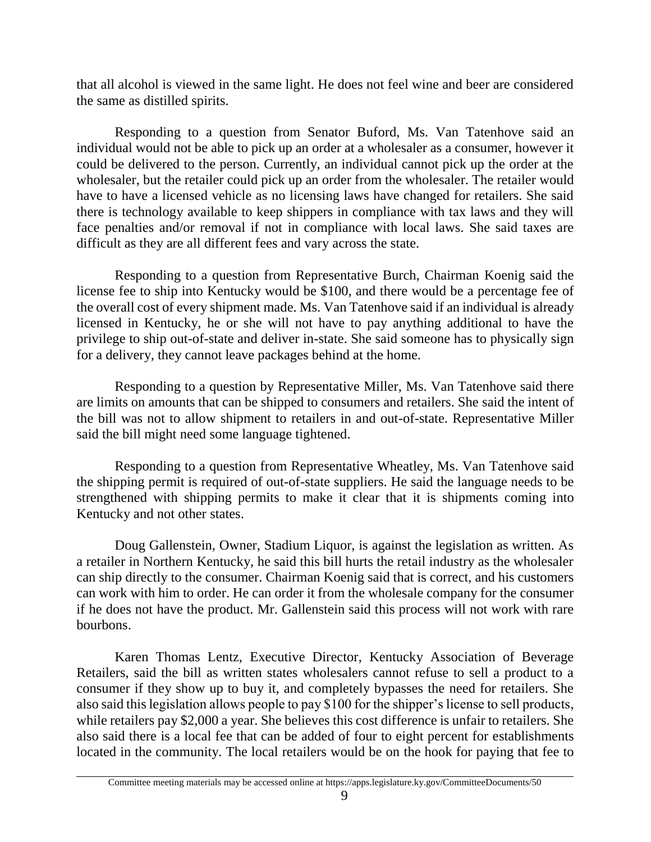that all alcohol is viewed in the same light. He does not feel wine and beer are considered the same as distilled spirits.

Responding to a question from Senator Buford, Ms. Van Tatenhove said an individual would not be able to pick up an order at a wholesaler as a consumer, however it could be delivered to the person. Currently, an individual cannot pick up the order at the wholesaler, but the retailer could pick up an order from the wholesaler. The retailer would have to have a licensed vehicle as no licensing laws have changed for retailers. She said there is technology available to keep shippers in compliance with tax laws and they will face penalties and/or removal if not in compliance with local laws. She said taxes are difficult as they are all different fees and vary across the state.

Responding to a question from Representative Burch, Chairman Koenig said the license fee to ship into Kentucky would be \$100, and there would be a percentage fee of the overall cost of every shipment made. Ms. Van Tatenhove said if an individual is already licensed in Kentucky, he or she will not have to pay anything additional to have the privilege to ship out-of-state and deliver in-state. She said someone has to physically sign for a delivery, they cannot leave packages behind at the home.

Responding to a question by Representative Miller, Ms. Van Tatenhove said there are limits on amounts that can be shipped to consumers and retailers. She said the intent of the bill was not to allow shipment to retailers in and out-of-state. Representative Miller said the bill might need some language tightened.

Responding to a question from Representative Wheatley, Ms. Van Tatenhove said the shipping permit is required of out-of-state suppliers. He said the language needs to be strengthened with shipping permits to make it clear that it is shipments coming into Kentucky and not other states.

Doug Gallenstein, Owner, Stadium Liquor, is against the legislation as written. As a retailer in Northern Kentucky, he said this bill hurts the retail industry as the wholesaler can ship directly to the consumer. Chairman Koenig said that is correct, and his customers can work with him to order. He can order it from the wholesale company for the consumer if he does not have the product. Mr. Gallenstein said this process will not work with rare bourbons.

Karen Thomas Lentz, Executive Director, Kentucky Association of Beverage Retailers, said the bill as written states wholesalers cannot refuse to sell a product to a consumer if they show up to buy it, and completely bypasses the need for retailers. She also said this legislation allows people to pay \$100 for the shipper's license to sell products, while retailers pay \$2,000 a year. She believes this cost difference is unfair to retailers. She also said there is a local fee that can be added of four to eight percent for establishments located in the community. The local retailers would be on the hook for paying that fee to

Committee meeting materials may be accessed online at https://apps.legislature.ky.gov/CommitteeDocuments/50